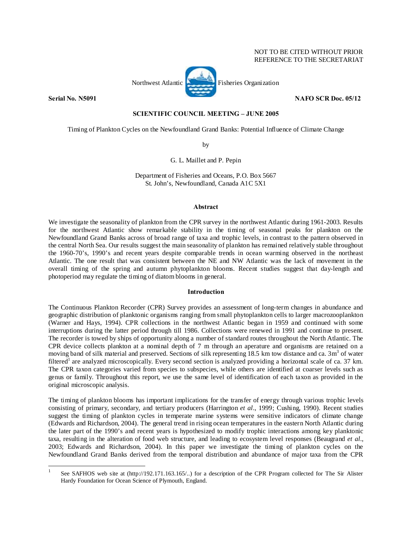

### **SCIENTIFIC COUNCIL MEETING – JUNE 2005**

Timing of Plankton Cycles on the Newfoundland Grand Banks: Potential Influence of Climate Change

by

# G. L. Maillet and P. Pepin

Department of Fisheries and Oceans, P.O. Box 5667 St. John's, Newfoundland, Canada A1C 5X1

## **Abstract**

We investigate the seasonality of plankton from the CPR survey in the northwest Atlantic during 1961-2003. Results for the northwest Atlantic show remarkable stability in the timing of seasonal peaks for plankton on the Newfoundland Grand Banks across of broad range of taxa and trophic levels, in contrast to the pattern observed in the central North Sea. Our results suggest the main seasonality of plankton has remained relatively stable throughout the 1960-70's, 1990's and recent years despite comparable trends in ocean warming observed in the northeast Atlantic. The one result that was consistent between the NE and NW Atlantic was the lack of movement in the overall timing of the spring and autumn phytoplankton blooms. Recent studies suggest that day-length and photoperiod may regulate the timing of diatom blooms in general.

## **Introduction**

The Continuous Plankton Recorder (CPR) Survey provides an assessment of long-term changes in abundance and geographic distribution of planktonic organisms ranging from small phytoplankton cells to larger macrozooplankton (Warner and Hays, 1994). CPR collections in the northwest Atlantic began in 1959 and continued with some interruptions during the latter period through till 1986. Collections were renewed in 1991 and continue to present. The recorder is towed by ships of opportunity along a number of standard routes throughout the North Atlantic. The CPR device collects plankton at a nominal depth of 7 m through an aperature and organisms are retained on a moving band of silk material and preserved. Sections of silk representing 18.5 km tow distance and ca. 3m<sup>3</sup> of water filtered<sup>1</sup> are analyzed microscopically. Every second section is analyzed providing a horizontal scale of ca. 37 km. The CPR taxon categories varied from species to subspecies, while others are identified at coarser levels such as genus or family. Throughout this report, we use the same level of identification of each taxon as provided in the original microscopic analysis.

The timing of plankton blooms has important implications for the transfer of energy through various trophic levels consisting of primary, secondary, and tertiary producers (Harrington *et al*., 1999; Cushing, 1990). Recent studies suggest the timing of plankton cycles in temperate marine systems were sensitive indicators of climate change (Edwards and Richardson, 2004). The general trend in rising ocean temperatures in the eastern North Atlantic during the later part of the 1990's and recent years is hypothesized to modify trophic interactions among key planktonic taxa, resulting in the alteration of food web structure, and leading to ecosystem level responses (Beaugrand *et al*., 2003; Edwards and Richardson, 2004). In this paper we investigate the timing of plankton cycles on the Newfoundland Grand Banks derived from the temporal distribution and abundance of major taxa from the CPR

 $\overline{a}$ 1 See SAFHOS web site at (http://192.171.163.165/..) for a description of the CPR Program collected for The Sir Alister Hardy Foundation for Ocean Science of Plymouth, England.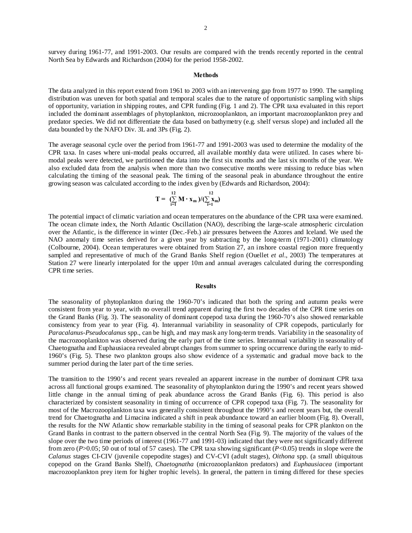survey during 1961-77, and 1991-2003. Our results are compared with the trends recently reported in the central North Sea by Edwards and Richardson (2004) for the period 1958-2002.

### **Methods**

The data analyzed in this report extend from 1961 to 2003 with an intervening gap from 1977 to 1990. The sampling distribution was uneven for both spatial and temporal scales due to the nature of opportunistic sampling with ships of opportunity, variation in shipping routes, and CPR funding (Fig. 1 and 2). The CPR taxa evaluated in this report included the dominant assemblages of phytoplankton, microzooplankton, an important macrozooplankton prey and predator species. We did not differentiate the data based on bathymetry (e.g. shelf versus slope) and included all the data bounded by the NAFO Div. 3L and 3Ps (Fig. 2).

The average seasonal cycle over the period from 1961-77 and 1991-2003 was used to determine the modality of the CPR taxa. In cases where uni-modal peaks occurred, all available monthly data were utilized. In cases where bimodal peaks were detected, we partitioned the data into the first six months and the last six months of the year. We also excluded data from the analysis when more than two consecutive months were missing to reduce bias when calculating the timing of the seasonal peak. The timing of the seasonal peak in abundance throughout the entire growing season was calculated according to the index given by (Edwards and Richardson, 2004):

$$
T = \sum_{i=1}^{12} M \cdot x_m) / (\sum_{i=1}^{12} x_m)
$$

The potential impact of climatic variation and ocean temperatures on the abundance of the CPR taxa were examined. The ocean climate index, the North Atlantic Oscillation (NAO), describing the large-scale atmospheric circulation over the Atlantic, is the difference in winter (Dec.-Feb.) air pressures between the Azores and Iceland. We used the NAO anomaly time series derived for a given year by subtracting by the long-term (1971-2001) climatology (Colbourne, 2004). Ocean temperatures were obtained from Station 27, an inshore coastal region more frequently sampled and representative of much of the Grand Banks Shelf region (Ouellet *et al*., 2003) The temperatures at Station 27 were linearly interpolated for the upper 10m and annual averages calculated during the corresponding CPR time series.

#### **Results**

The seasonality of phytoplankton during the 1960-70's indicated that both the spring and autumn peaks were consistent from year to year, with no overall trend apparent during the first two decades of the CPR time series on the Grand Banks (Fig. 3). The seasonality of dominant copepod taxa during the 1960-70's also showed remarkable consistency from year to year (Fig. 4). Interannual variability in seasonality of CPR copepods, particularly for *Paracalanus-Pseudocalanus* spp., can be high, and may mask any long-term trends. Variability in the seasonality of the macrozooplankton was observed during the early part of the time series. Interannual variability in seasonality of Chaetognatha and Euphausiacea revealed abrupt changes from summer to spring occurrence during the early to mid-1960's (Fig. 5). These two plankton groups also show evidence of a systematic and gradual move back to the summer period during the later part of the time series.

The transition to the 1990's and recent years revealed an apparent increase in the number of dominant CPR taxa across all functional groups examined. The seasonality of phytoplankton during the 1990's and recent years showed little change in the annual timing of peak abundance across the Grand Banks (Fig. 6). This period is also characterized by consistent seasonality in timing of occurrence of CPR copepod taxa (Fig. 7). The seasonality for most of the Macrozooplankton taxa was generally consistent throughout the 1990's and recent years but, the overall trend for Chaetognatha and Limacina indicated a shift in peak abundance toward an earlier bloom (Fig. 8). Overall, the results for the NW Atlantic show remarkable stability in the timing of seasonal peaks for CPR plankton on the Grand Banks in contrast to the pattern observed in the central North Sea (Fig. 9). The majority of the values of the slope over the two time periods of interest (1961-77 and 1991-03) indicated that they were not significantly different from zero ( $P > 0.05$ ; 50 out of total of 57 cases). The CPR taxa showing significant ( $P < 0.05$ ) trends in slope were the *Calanus* stages CI-CIV (juvenile copepodite stages) and CV-CVI (adult stages), *Oithona* spp. (a small ubiquitous copepod on the Grand Banks Shelf), *Chaetognatha* (microzooplankton predators) and *Euphausiacea* (important macrozooplankton prey item for higher trophic levels). In general, the pattern in timing differed for these species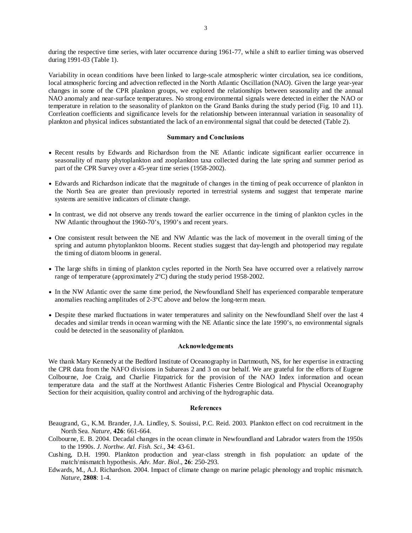during the respective time series, with later occurrence during 1961-77, while a shift to earlier timing was observed during 1991-03 (Table 1).

Variability in ocean conditions have been linked to large-scale atmospheric winter circulation, sea ice conditions, local atmospheric forcing and advection reflected in the North Atlantic Oscillation (NAO). Given the large year-year changes in some of the CPR plankton groups, we explored the relationships between seasonality and the annual NAO anomaly and near-surface temperatures. No strong environmental signals were detected in either the NAO or temperature in relation to the seasonality of plankton on the Grand Banks during the study period (Fig. 10 and 11). Corrleation coefficients and significance levels for the relationship between interannual variation in seasonality of plankton and physical indices substantiated the lack of an environmental signal that could be detected (Table 2).

### **Summary and Conclusions**

- Recent results by Edwards and Richardson from the NE Atlantic indicate significant earlier occurrence in seasonality of many phytoplankton and zooplankton taxa collected during the late spring and summer period as part of the CPR Survey over a 45-year time series (1958-2002).
- Edwards and Richardson indicate that the magnitude of changes in the timing of peak occurrence of plankton in the North Sea are greater than previously reported in terrestrial systems and suggest that temperate marine systems are sensitive indicators of climate change.
- In contrast, we did not observe any trends toward the earlier occurrence in the timing of plankton cycles in the NW Atlantic throughout the 1960-70's, 1990's and recent years.
- One consistent result between the NE and NW Atlantic was the lack of movement in the overall timing of the spring and autumn phytoplankton blooms. Recent studies suggest that day-length and photoperiod may regulate the timing of diatom blooms in general.
- The large shifts in timing of plankton cycles reported in the North Sea have occurred over a relatively narrow range of temperature (approximately 2ºC) during the study period 1958-2002.
- In the NW Atlantic over the same time period, the Newfoundland Shelf has experienced comparable temperature anomalies reaching amplitudes of 2-3ºC above and below the long-term mean.
- Despite these marked fluctuations in water temperatures and salinity on the Newfoundland Shelf over the last 4 decades and similar trends in ocean warming with the NE Atlantic since the late 1990's, no environmental signals could be detected in the seasonality of plankton.

#### **Acknowledgements**

We thank Mary Kennedy at the Bedford Institute of Oceanography in Dartmouth, NS, for her expertise in extracting the CPR data from the NAFO divisions in Subareas 2 and 3 on our behalf. We are grateful for the efforts of Eugene Colbourne, Joe Craig, and Charlie Fitzpatrick for the provision of the NAO Index information and ocean temperature data and the staff at the Northwest Atlantic Fisheries Centre Biological and Physcial Oceanography Section for their acquisition, quality control and archiving of the hydrographic data.

#### **References**

- Beaugrand, G., K.M. Brander, J.A. Lindley, S. Souissi, P.C. Reid. 2003. Plankton effect on cod recruitment in the North Sea. *Nature*, **426**: 661-664.
- Colbourne, E. B. 2004. Decadal changes in the ocean climate in Newfoundland and Labrador waters from the 1950s to the 1990s. *J. Northw. Atl. Fish. Sci*., **34**: 43-61.
- Cushing, D.H. 1990. Plankton production and year-class strength in fish population: an update of the match/mismatch hypothesis. *Adv. Mar. Biol*., **26**: 250-293.
- Edwards, M., A.J. Richardson. 2004. Impact of climate change on marine pelagic phenology and trophic mismatch. *Nature*, **2808**: 1-4.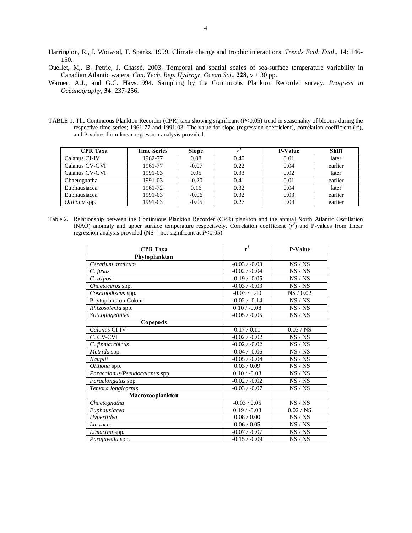- Harrington, R., I. Woiwod, T. Sparks. 1999. Climate change and trophic interactions. *Trends Ecol. Evol*., **14**: 146- 150.
- Ouellet, M,. B. Petrie, J. Chassé. 2003. Temporal and spatial scales of sea-surface temperature variability in Canadian Atlantic waters. *Can. Tech. Rep. Hydrogr. Ocean Sci*., **228**, v + 30 pp.
- Warner, A.J., and G.C. Hays.1994. Sampling by the Continuous Plankton Recorder survey. *Progress in Oceanography*, **34**: 237-256.
- TABLE 1. The Continuous Plankton Recorder (CPR) taxa showing significant (*P*<0.05) trend in seasonality of blooms during the respective time series; 1961-77 and 1991-03. The value for slope (regression coefficient), correlation coefficient  $(r^2)$ , and P-values from linear regression analysis provided.

| <b>CPR</b> Taxa | <b>Time Series</b> | <b>Slope</b> |      | P-Value | <b>Shift</b> |
|-----------------|--------------------|--------------|------|---------|--------------|
| Calanus CI-IV   | 1962-77            | 0.08         | 0.40 | 0.01    | later        |
| Calanus CV-CVI  | 1961-77            | $-0.07$      | 0.22 | 0.04    | earlier      |
| Calanus CV-CVI  | 1991-03            | 0.05         | 0.33 | 0.02    | later        |
| Chaetognatha    | 1991-03            | $-0.20$      | 0.41 | 0.01    | earlier      |
| Euphausiacea    | 1961-72            | 0.16         | 0.32 | 0.04    | later        |
| Euphausiacea    | 1991-03            | $-0.06$      | 0.32 | 0.03    | earlier      |
| Oithona spp.    | 1991-03            | $-0.05$      | 0.27 | 0.04    | earlier      |

Table 2. Relationship between the Continuous Plankton Recorder (CPR) plankton and the annual North Atlantic Oscillation (NAO) anomaly and upper surface temperature respectively. Correlation coefficient  $(r^2)$  and P-values from linear regression analysis provided (NS = not significant at  $P < 0.05$ ).

| <b>CPR</b> Taxa                | r <sup>2</sup>  | P-Value   |
|--------------------------------|-----------------|-----------|
| Phytoplankton                  |                 |           |
| Ceratium arcticum              | $-0.03 / -0.03$ | NS/NS     |
| C. fusus                       | $-0.02 / -0.04$ | NS / NS   |
| $C.$ tripos                    | $-0.19 / -0.05$ | NS/NS     |
| Chaetoceros spp.               | $-0.03 / -0.03$ | NS / NS   |
| Coscinodiscus spp.             | $-0.03/0.40$    | NS / 0.02 |
| Phytoplankton Colour           | $-0.02 / -0.14$ | NS / NS   |
| Rhizosolenia spp.              | $0.10 / -0.08$  | NS / NS   |
| Silicoflagellates              | $-0.05 / -0.05$ | NS / NS   |
| Copepods                       |                 |           |
| Calanus CI-IV                  | 0.17/0.11       | 0.03 / NS |
| C. CV-CVI                      | $-0.02 / -0.02$ | NS/NS     |
| C. finmarchicus                | $-0.02 / -0.02$ | NS/NS     |
| $\overline{M}$ etrida spp.     | $-0.04 / -0.06$ | NS / NS   |
| Nauplii                        | $-0.05 / -0.04$ | NS / NS   |
| Oithona spp.                   | 0.03 / 0.09     | NS / NS   |
| Paracalanus/Pseudocalanus spp. | $0.10 / -0.03$  | NS / NS   |
| Paraelongatus spp.             | $-0.02 / -0.02$ | NS / NS   |
| Temora longicornis             | $-0.03 / -0.07$ | NS / NS   |
| Macrozooplankton               |                 |           |
| Chaetognatha                   | $-0.03 / 0.05$  | NS/NS     |
| Euphausiacea                   | $0.19 / -0.03$  | 0.02 / NS |
| Hyperiidea                     | 0.08 / 0.00     | NS / NS   |
| Larvacea                       | 0.06 / 0.05     | NS / NS   |
| Limacina spp.                  | $-0.07 / -0.07$ | NS / NS   |
| Parafavella spp.               | $-0.15 / -0.09$ | NS/NS     |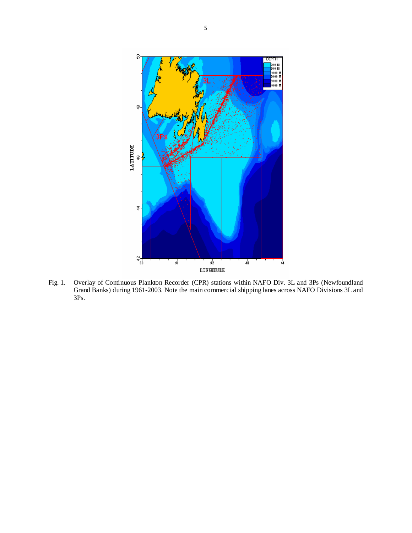

Fig. 1. Overlay of Continuous Plankton Recorder (CPR) stations within NAFO Div. 3L and 3Ps (Newfoundland Grand Banks) during 1961-2003. Note the main commercial shipping lanes across NAFO Divisions 3L and 3Ps.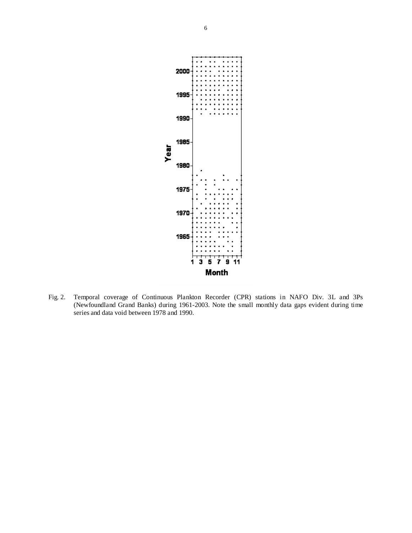

Fig. 2. Temporal coverage of Continuous Plankton Recorder (CPR) stations in NAFO Div. 3L and 3Ps (Newfoundland Grand Banks) during 1961-2003. Note the small monthly data gaps evident during time series and data void between 1978 and 1990.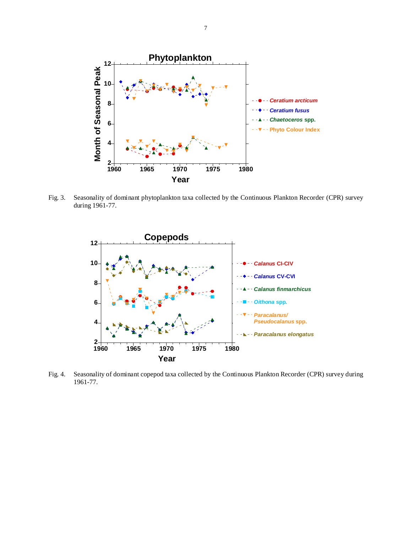

Fig. 3. Seasonality of dominant phytoplankton taxa collected by the Continuous Plankton Recorder (CPR) survey during 1961-77.



Fig. 4. Seasonality of dominant copepod taxa collected by the Continuous Plankton Recorder (CPR) survey during 1961-77.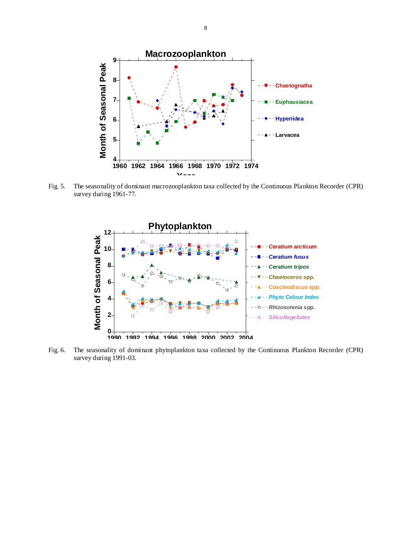

Fig. 5. The seasonality of dominant macrozooplankton taxa collected by the Continuous Plankton Recorder (CPR) survey during 1961-77.



Fig. 6. The seasonality of dominant phytoplankton taxa collected by the Continuous Plankton Recorder (CPR) survey during 1991-03.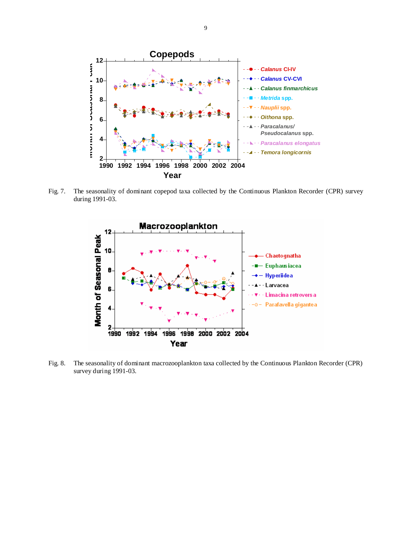

Fig. 7. The seasonality of dominant copepod taxa collected by the Continuous Plankton Recorder (CPR) survey during 1991-03.



Fig. 8. The seasonality of dominant macrozooplankton taxa collected by the Continuous Plankton Recorder (CPR) survey during 1991-03.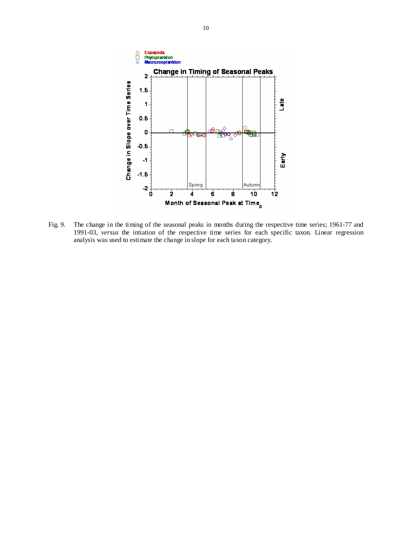

Fig. 9. The change in the timing of the seasonal peaks in months during the respective time series; 1961-77 and 1991-03, *versus* the intiation of the respective time series for each specific taxon. Linear regression analysis was used to estimate the change in slope for each taxon category.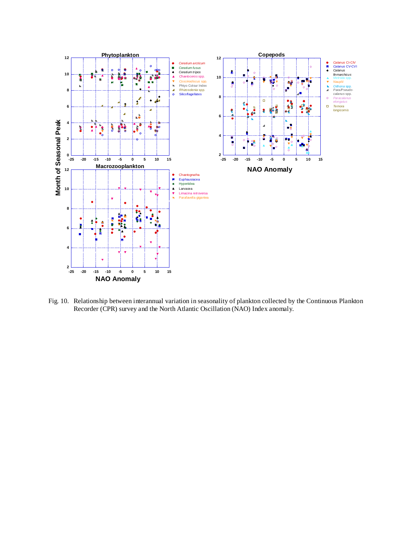

Fig. 10. Relationship between interannual variation in seasonality of plankton collected by the Continuous Plankton Recorder (CPR) survey and the North Atlantic Oscillation (NAO) Index anomaly.